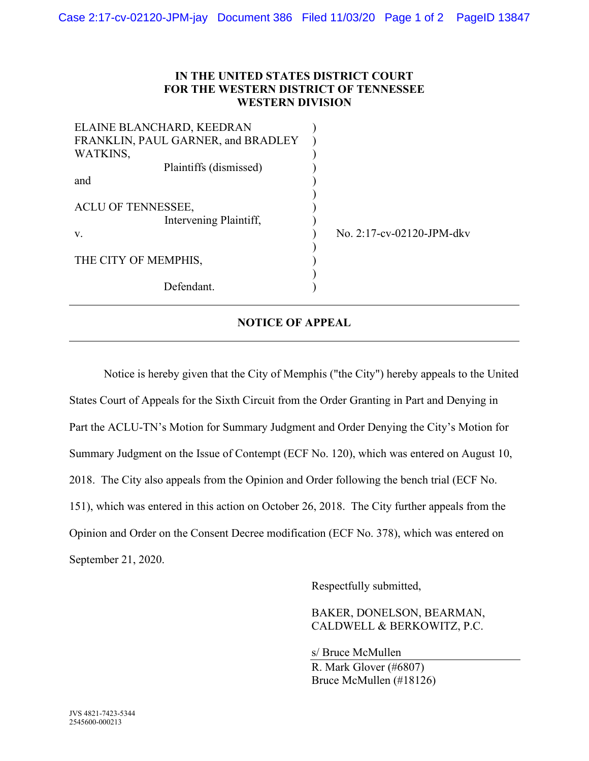## **IN THE UNITED STATES DISTRICT COURT FOR THE WESTERN DISTRICT OF TENNESSEE WESTERN DIVISION**

| ELAINE BLANCHARD, KEEDRAN<br>FRANKLIN, PAUL GARNER, and BRADLEY<br>WATKINS, |                           |
|-----------------------------------------------------------------------------|---------------------------|
|                                                                             |                           |
| Plaintiffs (dismissed)                                                      |                           |
| and                                                                         |                           |
| ACLU OF TENNESSEE,<br>Intervening Plaintiff,<br>V.                          | No. 2:17-cv-02120-JPM-dkv |
| THE CITY OF MEMPHIS,                                                        |                           |
| Defendant.                                                                  |                           |

## **NOTICE OF APPEAL**

Notice is hereby given that the City of Memphis ("the City") hereby appeals to the United States Court of Appeals for the Sixth Circuit from the Order Granting in Part and Denying in Part the ACLU-TN's Motion for Summary Judgment and Order Denying the City's Motion for Summary Judgment on the Issue of Contempt (ECF No. 120), which was entered on August 10, 2018. The City also appeals from the Opinion and Order following the bench trial (ECF No. 151), which was entered in this action on October 26, 2018. The City further appeals from the Opinion and Order on the Consent Decree modification (ECF No. 378), which was entered on September 21, 2020.

Respectfully submitted,

BAKER, DONELSON, BEARMAN, CALDWELL & BERKOWITZ, P.C.

s/ Bruce McMullen R. Mark Glover (#6807) Bruce McMullen (#18126)